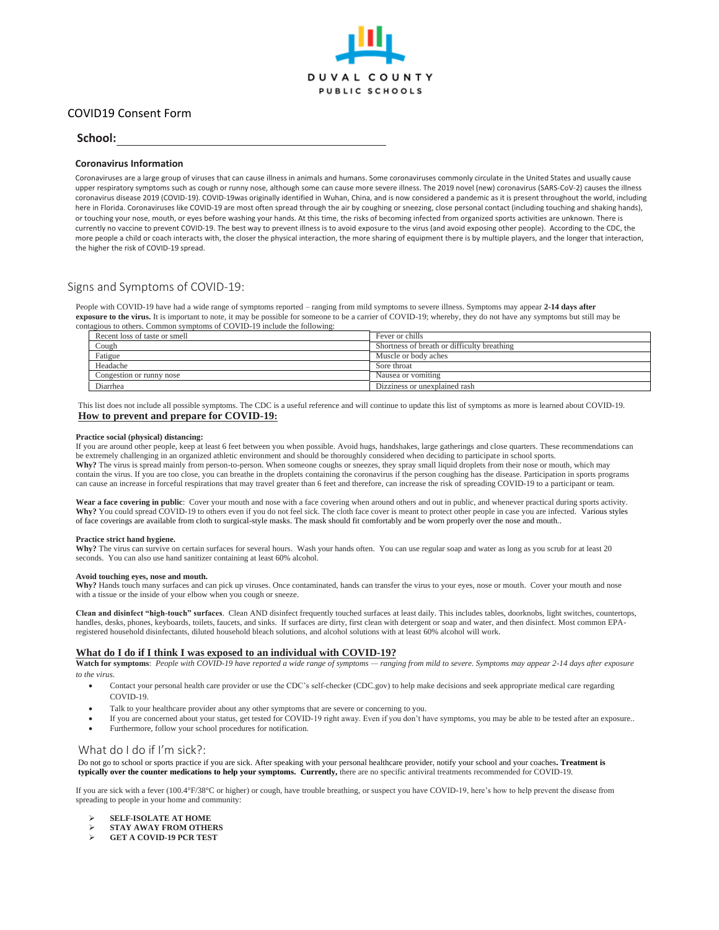

# COVID19 Consent Form

## **School:**

### **Coronavirus Information**

Coronaviruses are a large group of viruses that can cause illness in animals and humans. Some coronaviruses commonly circulate in the United States and usually cause upper respiratory symptoms such as cough or runny nose, although some can cause more severe illness. The 2019 novel (new) coronavirus (SARS-CoV-2) causes the illness coronavirus disease 2019 (COVID-19). COVID-19was originally identified in Wuhan, China, and is now considered a pandemic as it is present throughout the world, including here in Florida. Coronaviruses like COVID-19 are most often spread through the air by coughing or sneezing, close personal contact (including touching and shaking hands), or touching your nose, mouth, or eyes before washing your hands. At this time, the risks of becoming infected from organized sports activities are unknown. There is currently no vaccine to prevent COVID-19. The best way to prevent illness is to avoid exposure to the virus (and avoid exposing other people). According to the CDC, the more people a child or coach interacts with, the closer the physical interaction, the more sharing of equipment there is by multiple players, and the longer that interaction, the higher the risk of COVID-19 spread.

## Signs and Symptoms of COVID-19:

People with COVID-19 have had a wide range of symptoms reported – ranging from mild symptoms to severe illness. Symptoms may appear **2-14 days after exposure to the virus.** It is important to note, it may be possible for someone to be a carrier of COVID-19; whereby, they do not have any symptoms but still may be contagious to others. Common symptoms of COVID-19 include the following:

| Recent loss of taste or smell | Fever or chills                             |
|-------------------------------|---------------------------------------------|
| Cough                         | Shortness of breath or difficulty breathing |
| Fatigue                       | Muscle or body aches                        |
| Headache                      | Sore throat                                 |
| Congestion or runny nose      | Nausea or vomiting                          |
| Diarrhea                      | Dizziness or unexplained rash               |

This list does not include all possible symptoms. The CDC is a useful reference and will continue to update this list of symptoms as more is learned about COVID-19. **How to prevent and prepare for COVID-19:**

#### **Practice social (physical) distancing:**

If you are around other people, keep at least 6 feet between you when possible. Avoid hugs, handshakes, large gatherings and close quarters. These recommendations can be extremely challenging in an organized athletic environment and should be thoroughly considered when deciding to participate in school sports. Why? The virus is spread mainly from person-to-person. When someone coughs or sneezes, they spray small liquid droplets from their nose or mouth, which may contain the virus. If you are too close, you can breathe in the droplets containing the coronavirus if the person coughing has the disease. Participation in sports programs can cause an increase in forceful respirations that may travel greater than 6 feet and therefore, can increase the risk of spreading COVID-19 to a participant or team.

Wear a face covering in public: Cover your mouth and nose with a face covering when around others and out in public, and whenever practical during sports activity. **Why?** You could spread COVID-19 to others even if you do not feel sick. The cloth face cover is meant to protect other people in case you are infected. Various styles of face coverings are available from cloth to surgical-style masks. The mask should fit comfortably and be worn properly over the nose and mouth..

#### **Practice strict hand hygiene.**

Why? The virus can survive on certain surfaces for several hours. Wash your hands often. You can use regular soap and water as long as you scrub for at least 20 seconds. You can also use hand sanitizer containing at least 60% alcohol.

#### **Avoid touching eyes, nose and mouth.**

Why? Hands touch many surfaces and can pick up viruses. Once contaminated, hands can transfer the virus to your eyes, nose or mouth. Cover your mouth and nose with a tissue or the inside of your elbow when you cough or sneeze.

**Clean and disinfect "high-touch" surfaces**. Clean AND disinfect frequently touched surfaces at least daily. This includes tables, doorknobs, light switches, countertops, handles, desks, phones, keyboards, toilets, faucets, and sinks. If surfaces are dirty, first clean with detergent or soap and water, and then disinfect. Most common EPAregistered household disinfectants, diluted household bleach solutions, and alcohol solutions with at least 60% alcohol will work.

### **What do I do if I think I was exposed to an individual with COVID-19?**

**Watch for symptoms**: *People with COVID-19 have reported a wide range of symptoms — ranging from mild to severe. Symptoms may appear 2-14 days after exposure to the virus.* 

- Contact your personal health care provider or use the CDC's self-checker (CDC.gov) to help make decisions and seek appropriate medical care regarding COVID-19.
- Talk to your healthcare provider about any other symptoms that are severe or concerning to you.
- If you are concerned about your status, get tested for COVID-19 right away. Even if you don't have symptoms, you may be able to be tested after an exposure..
- Furthermore, follow your school procedures for notification.

### What do I do if I'm sick?:

Do not go to school or sports practice if you are sick. After speaking with your personal healthcare provider, notify your school and your coaches**. Treatment is typically over the counter medications to help your symptoms. Currently,** there are no specific antiviral treatments recommended for COVID-19.

If you are sick with a fever (100.4°F/38°C or higher) or cough, have trouble breathing, or suspect you have COVID-19, here's how to help prevent the disease from spreading to people in your home and community:

- ➢ **SELF-ISOLATE AT HOME**
- ➢ **STAY AWAY FROM OTHERS**
- ➢ **GET A COVID-19 PCR TEST**